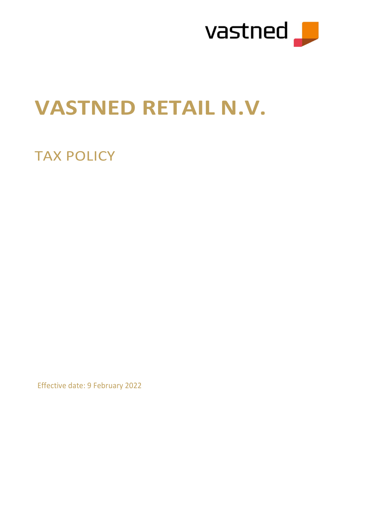

# VASTNED RETAIL N.V.

## TAX POLICY

Effective date: 9 February 2022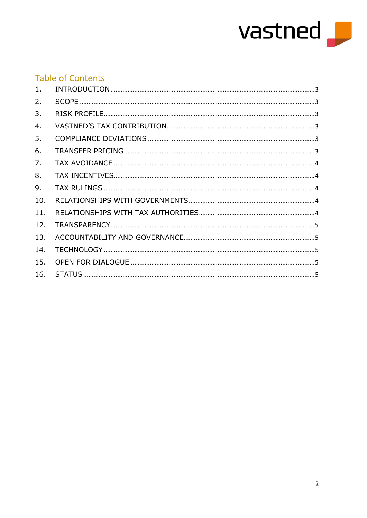

### **Table of Contents**

| $1$ . |  |
|-------|--|
| 2.    |  |
| 3.    |  |
| 4.    |  |
| 5.    |  |
| 6.    |  |
| 7.    |  |
| 8.    |  |
| 9.    |  |
| 10.   |  |
| 11.   |  |
| 12.   |  |
| 13.   |  |
| 14.   |  |
| 15.   |  |
| 16.   |  |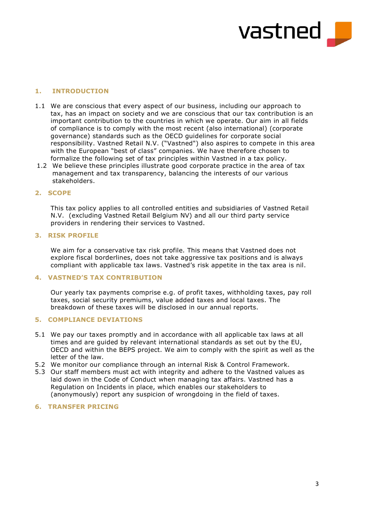

#### 1. INTRODUCTION

- 1.1 We are conscious that every aspect of our business, including our approach to tax, has an impact on society and we are conscious that our tax contribution is an important contribution to the countries in which we operate. Our aim in all fields of compliance is to comply with the most recent (also international) (corporate governance) standards such as the OECD guidelines for corporate social responsibility. Vastned Retail N.V. ("Vastned") also aspires to compete in this area with the European "best of class" companies. We have therefore chosen to formalize the following set of tax principles within Vastned in a tax policy.
- 1.2 We believe these principles illustrate good corporate practice in the area of tax management and tax transparency, balancing the interests of our various stakeholders.

#### 2. SCOPE

This tax policy applies to all controlled entities and subsidiaries of Vastned Retail N.V. (excluding Vastned Retail Belgium NV) and all our third party service providers in rendering their services to Vastned.

#### 3. RISK PROFILE

We aim for a conservative tax risk profile. This means that Vastned does not explore fiscal borderlines, does not take aggressive tax positions and is always compliant with applicable tax laws. Vastned's risk appetite in the tax area is nil.

#### 4. VASTNED'S TAX CONTRIBUTION

Our yearly tax payments comprise e.g. of profit taxes, withholding taxes, pay roll taxes, social security premiums, value added taxes and local taxes. The breakdown of these taxes will be disclosed in our annual reports.

#### 5. COMPLIANCE DEVIATIONS

- 5.1 We pay our taxes promptly and in accordance with all applicable tax laws at all times and are guided by relevant international standards as set out by the EU, OECD and within the BEPS project. We aim to comply with the spirit as well as the letter of the law.
- 5.2 We monitor our compliance through an internal Risk & Control Framework.
- 5.3 Our staff members must act with integrity and adhere to the Vastned values as laid down in the Code of Conduct when managing tax affairs. Vastned has a Regulation on Incidents in place, which enables our stakeholders to (anonymously) report any suspicion of wrongdoing in the field of taxes.

#### 6. TRANSFER PRICING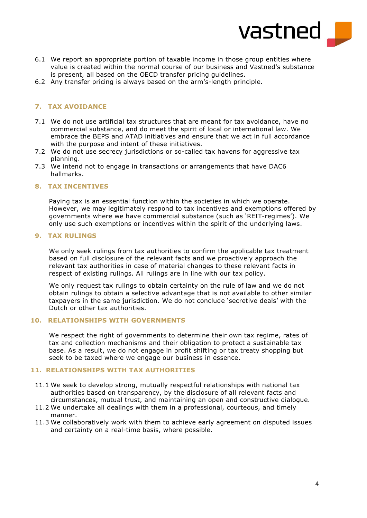

- 6.1 We report an appropriate portion of taxable income in those group entities where value is created within the normal course of our business and Vastned's substance is present, all based on the OECD transfer pricing guidelines.
- 6.2 Any transfer pricing is always based on the arm's-length principle.

#### 7. TAX AVOIDANCE

- 7.1 We do not use artificial tax structures that are meant for tax avoidance, have no commercial substance, and do meet the spirit of local or international law. We embrace the BEPS and ATAD initiatives and ensure that we act in full accordance with the purpose and intent of these initiatives.
- 7.2 We do not use secrecy jurisdictions or so-called tax havens for aggressive tax planning.
- 7.3 We intend not to engage in transactions or arrangements that have DAC6 hallmarks.

#### 8. TAX INCENTIVES

Paying tax is an essential function within the societies in which we operate. However, we may legitimately respond to tax incentives and exemptions offered by governments where we have commercial substance (such as 'REIT-regimes'). We only use such exemptions or incentives within the spirit of the underlying laws.

#### 9. TAX RULINGS

We only seek rulings from tax authorities to confirm the applicable tax treatment based on full disclosure of the relevant facts and we proactively approach the relevant tax authorities in case of material changes to these relevant facts in respect of existing rulings. All rulings are in line with our tax policy.

We only request tax rulings to obtain certainty on the rule of law and we do not obtain rulings to obtain a selective advantage that is not available to other similar taxpayers in the same jurisdiction. We do not conclude 'secretive deals' with the Dutch or other tax authorities.

#### 10. RELATIONSHIPS WITH GOVERNMENTS

We respect the right of governments to determine their own tax regime, rates of tax and collection mechanisms and their obligation to protect a sustainable tax base. As a result, we do not engage in profit shifting or tax treaty shopping but seek to be taxed where we engage our business in essence.

#### 11. RELATIONSHIPS WITH TAX AUTHORITIES

- 11.1 We seek to develop strong, mutually respectful relationships with national tax authorities based on transparency, by the disclosure of all relevant facts and circumstances, mutual trust, and maintaining an open and constructive dialogue.
- 11.2 We undertake all dealings with them in a professional, courteous, and timely manner.
- 11.3 We collaboratively work with them to achieve early agreement on disputed issues and certainty on a real-time basis, where possible.